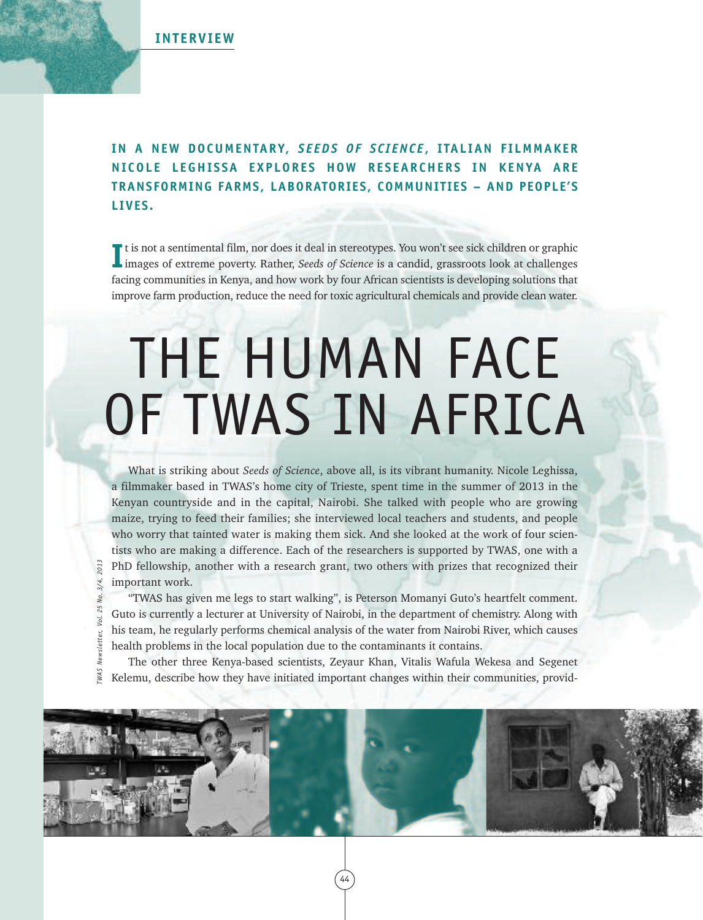

*TWAS Newsletter, Vol. 25 No. 3/4, 2013*

WAS Newsletter,

Vol. 25 No. 3/4,

## **IN A NEW DOCUMENTARY,** *S E EDS OF S C I ENC E* **, I TALIAN F ILMMAKER NI COL E L EGHI S SA EXP LORE S HOW RE S EARCHERS IN KENYA ARE TRANSFORMING FARMS, LABORATORIES, COMMUNITIES – AND PEOPLE'S LIVES.**

If the not a sentimental film, nor does it deal in stereotypes. You won't see sick children or graphic images of extreme poverty. Rather, *Seeds of Science* is a candid, grassroots look at challenges t is not a sentimental film, nor does it deal in stereotypes. You won't see sick children or graphic facing communities in Kenya, and how work by four African scientists is developing solutions that improve farm production, reduce the need for toxic agricultural chemicals and provide clean water.

# THE HUMAN FACE OF TWAS IN AFRICA

What is striking about *Seeds of Science*, above all, is its vibrant humanity. Nicole Leghissa, a filmmaker based in TWAS's home city of Trieste, spent time in the summer of 2013 in the Kenyan countryside and in the capital, Nairobi. She talked with people who are growing maize, trying to feed their families; she interviewed local teachers and students, and people who worry that tainted water is making them sick. And she looked at the work of four scientists who are making a difference. Each of the researchers is supported by TWAS, one with a PhD fellowship, another with a research grant, two others with prizes that recognized their important work.

"TWAS has given me legs to start walking", is Peterson Momanyi Guto's heartfelt comment. Guto is currently a lecturer at University of Nairobi, in the department of chemistry. Along with his team, he regularly performs chemical analysis of the water from Nairobi River, which causes health problems in the local population due to the contaminants it contains.

The other three Kenya-based scientists, Zeyaur Khan, Vitalis Wafula Wekesa and Segenet Kelemu, describe how they have initiated important changes within their communities, provid-

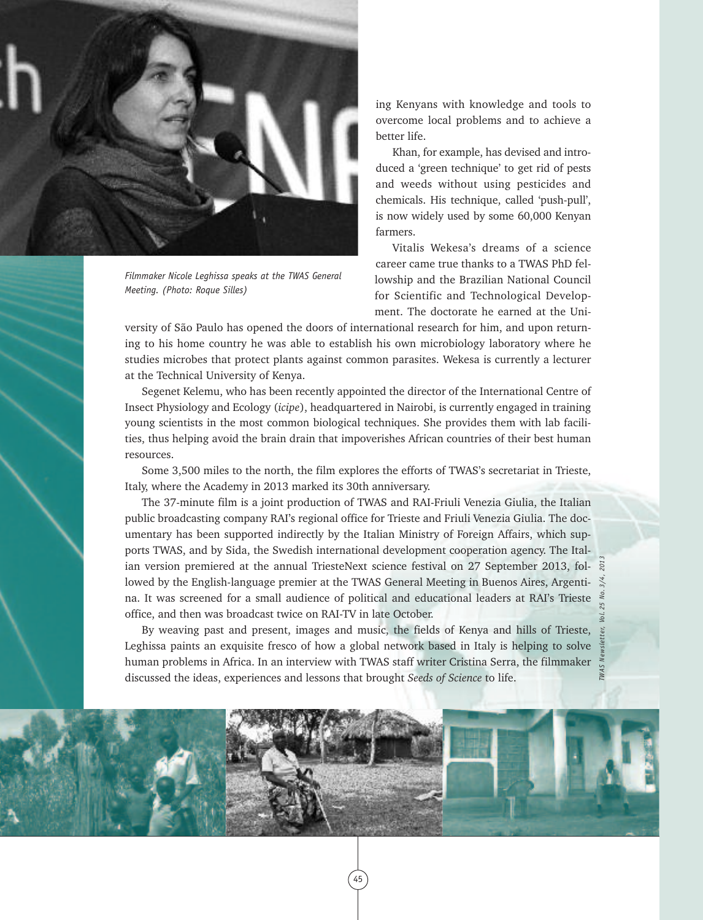

*Filmmaker Nicole Leghissa speaks at the TWAS General Meeting. (Photo: Roque Silles)*

ing Kenyans with knowledge and tools to overcome local problems and to achieve a better life.

Khan, for example, has devised and introduced a 'green technique' to get rid of pests and weeds without using pesticides and chemicals. His technique, called 'push-pull', is now widely used by some 60,000 Kenyan farmers.

Vitalis Wekesa's dreams of a science career came true thanks to a TWAS PhD fellowship and the Brazilian National Council for Scientific and Technological Development. The doctorate he earned at the Uni-

*TWAS Newsletter, Vol. 25 No. 3/4, 2013*

versity of São Paulo has opened the doors of international research for him, and upon returning to his home country he was able to establish his own microbiology laboratory where he studies microbes that protect plants against common parasites. Wekesa is currently a lecturer at the Technical University of Kenya.

Segenet Kelemu, who has been recently appointed the director of the International Centre of Insect Physiology and Ecology (*icipe*), headquartered in Nairobi, is currently engaged in training young scientists in the most common biological techniques. She provides them with lab facilities, thus helping avoid the brain drain that impoverishes African countries of their best human resources.

Some 3,500 miles to the north, the film explores the efforts of TWAS's secretariat in Trieste, Italy, where the Academy in 2013 marked its 30th anniversary.

The 37-minute film is a joint production of TWAS and RAI-Friuli Venezia Giulia, the Italian public broadcasting company RAI's regional office for Trieste and Friuli Venezia Giulia. The documentary has been supported indirectly by the Italian Ministry of Foreign Affairs, which supports TWAS, and by Sida, the Swedish international development cooperation agency. The Italian version premiered at the annual TriesteNext science festival on 27 September 2013, followed by the English-language premier at the TWAS General Meeting in Buenos Aires, Argentina. It was screened for a small audience of political and educational leaders at RAI's Trieste office, and then was broadcast twice on RAI-TV in late October.

By weaving past and present, images and music, the fields of Kenya and hills of Trieste, Leghissa paints an exquisite fresco of how a global network based in Italy is helping to solve human problems in Africa. In an interview with TWAS staff writer Cristina Serra, the filmmaker discussed the ideas, experiences and lessons that brought *Seeds of Science* to life.

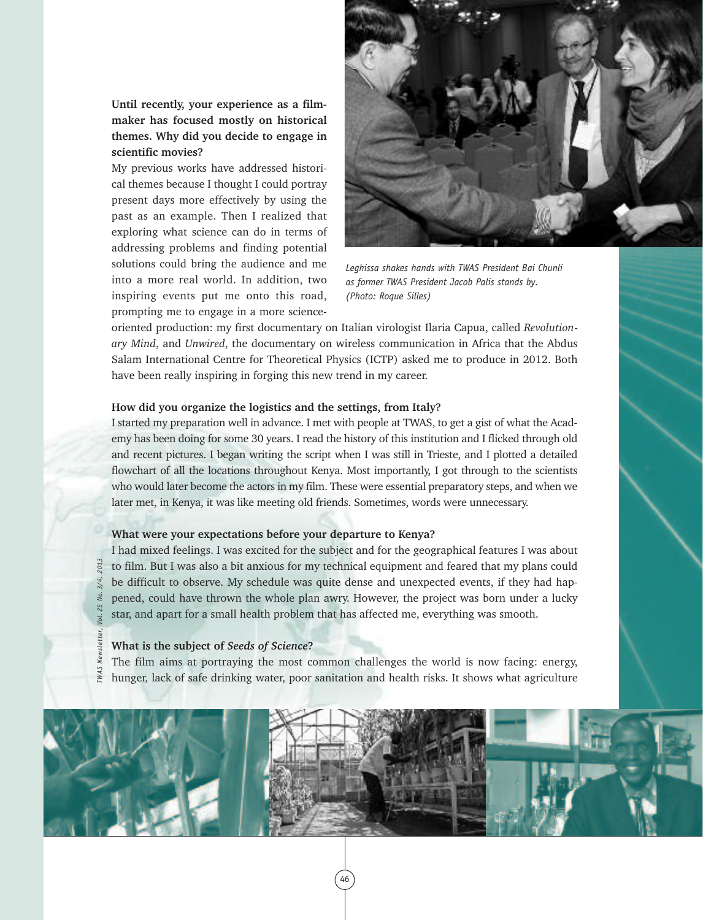**Until recently, your experience as a filmmaker has focused mostly on historical themes. Why did you decide to engage in scientific movies?**

My previous works have addressed historical themes because I thought I could portray present days more effectively by using the past as an example. Then I realized that exploring what science can do in terms of addressing problems and finding potential solutions could bring the audience and me into a more real world. In addition, two inspiring events put me onto this road, prompting me to engage in a more science-



*Leghissa shakes hands with TWAS President Bai Chunli as former TWAS President Jacob Palis stands by. (Photo: Roque Silles)*

oriented production: my first documentary on Italian virologist Ilaria Capua, called *Revolutionary Mind*, and *Unwired*, the documentary on wireless communication in Africa that the Abdus Salam International Centre for Theoretical Physics (ICTP) asked me to produce in 2012. Both have been really inspiring in forging this new trend in my career.

#### **How did you organize the logistics and the settings, from Italy?**

I started my preparation well in advance. I met with people at TWAS, to get a gist of what the Academy has been doing for some 30 years. I read the history of this institution and I flicked through old and recent pictures. I began writing the script when I was still in Trieste, and I plotted a detailed flowchart of all the locations throughout Kenya. Most importantly, I got through to the scientists who would later become the actors in my film. These were essential preparatory steps, and when we later met, in Kenya, it was like meeting old friends. Sometimes, words were unnecessary.

#### **What were your expectations before your departure to Kenya?**

I had mixed feelings. I was excited for the subject and for the geographical features I was about to film. But I was also a bit anxious for my technical equipment and feared that my plans could be difficult to observe. My schedule was quite dense and unexpected events, if they had happened, could have thrown the whole plan awry. However, the project was born under a lucky star, and apart for a small health problem that has affected me, everything was smooth.

#### **What is the subject of** *Seeds of Science***?**

*TWAS Newsletter, Vol. 25 No. 3/4, 2013*

The film aims at portraying the most common challenges the world is now facing: energy,  $\sum_{k=1}^{\infty}$  hunger, lack of safe drinking water, poor sanitation and health risks. It shows what agriculture

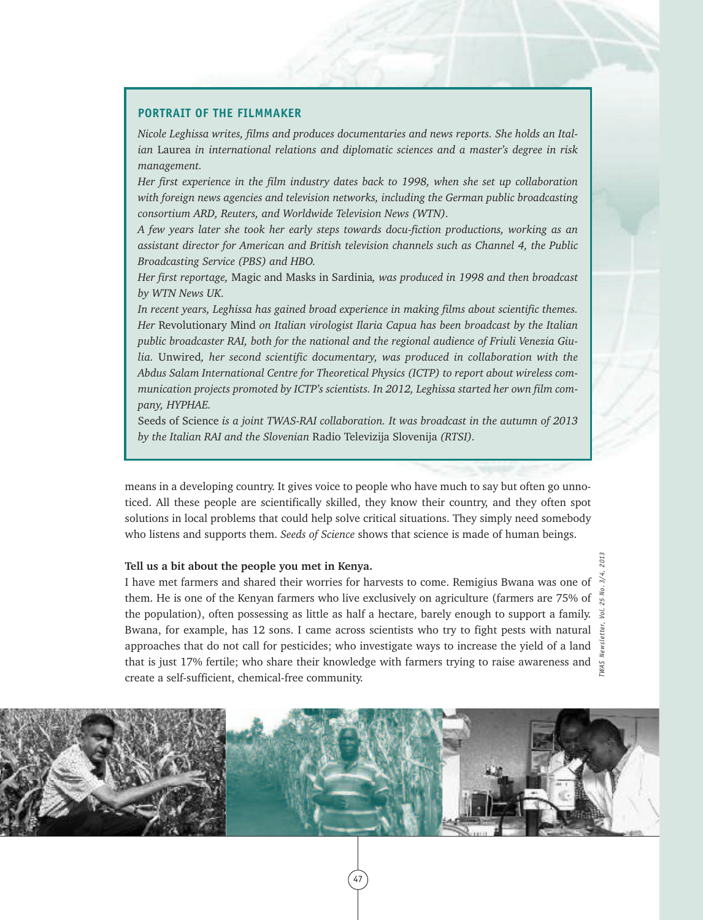#### **PORTRAIT OF THE FILMMAKER**

*Nicole Leghissa writes, films and produces documentaries and news reports. She holds an Italian* Laurea *in international relations and diplomatic sciences and a master's degree in risk management.*

*Her first experience in the film industry dates back to 1998, when she set up collaboration with foreign news agencies and television networks, including the German public broadcasting consortium ARD, Reuters, and Worldwide Television News (WTN).*

*A few years later she took her early steps towards docu-fiction productions, working as an assistant director for American and British television channels such as Channel 4, the Public Broadcasting Service (PBS) and HBO.*

*Her first reportage,* Magic and Masks in Sardinia*, was produced in 1998 and then broadcast by WTN News UK.*

*In recent years, Leghissa has gained broad experience in making films about scientific themes. Her* Revolutionary Mind *on Italian virologist Ilaria Capua has been broadcast by the Italian public broadcaster RAI, both for the national and the regional audience of Friuli Venezia Giulia.* Unwired*, her second scientific documentary, was produced in collaboration with the Abdus Salam International Centre for Theoretical Physics (ICTP) to report about wireless communication projects promoted by ICTP's scientists. In 2012, Leghissa started her own film company, HYPHAE.*

Seeds of Science *is a joint TWAS-RAI collaboration. It was broadcast in the autumn of 2013 by the Italian RAI and the Slovenian* Radio Televizija Slovenija *(RTSI).*

means in a developing country. It gives voice to people who have much to say but often go unnoticed. All these people are scientifically skilled, they know their country, and they often spot solutions in local problems that could help solve critical situations. They simply need somebody who listens and supports them. *Seeds of Science* shows that science is made of human beings.

#### **Tell us a bit about the people you met in Kenya.**

I have met farmers and shared their worries for harvests to come. Remigius Bwana was one of them. He is one of the Kenyan farmers who live exclusively on agriculture (farmers are 75% of  $\frac{1}{s}$ the population), often possessing as little as half a hectare, barely enough to support a family.  $\vec{s}$ Bwana, for example, has 12 sons. I came across scientists who try to fight pests with natural  $\frac{5}{3}$ approaches that do not call for pesticides; who investigate ways to increase the yield of a land that is just 17% fertile; who share their knowledge with farmers trying to raise awareness and create a self-sufficient, chemical-free community.

*TWAS Newsletter, Vol. 25 No. 3/4, 2013*

WAS I